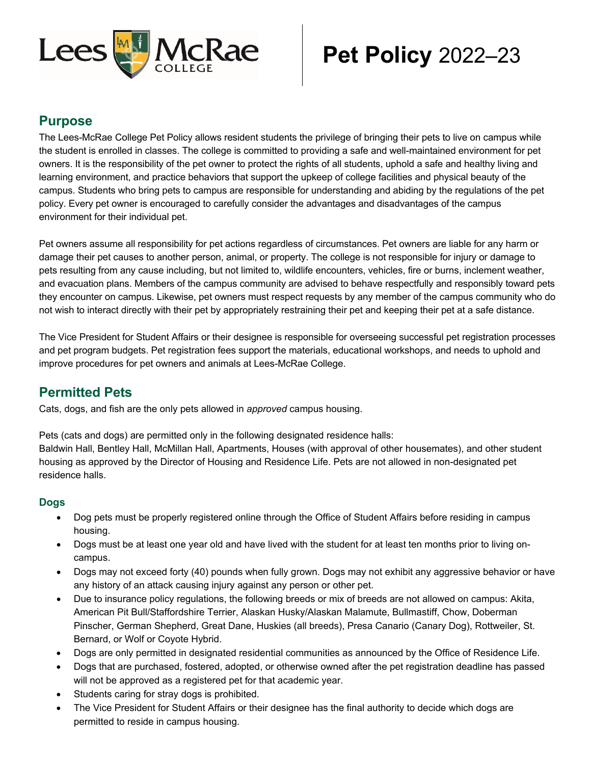

# **Pet Policy** 2022–23

#### **Purpose**

The Lees-McRae College Pet Policy allows resident students the privilege of bringing their pets to live on campus while the student is enrolled in classes. The college is committed to providing a safe and well-maintained environment for pet owners. It is the responsibility of the pet owner to protect the rights of all students, uphold a safe and healthy living and learning environment, and practice behaviors that support the upkeep of college facilities and physical beauty of the campus. Students who bring pets to campus are responsible for understanding and abiding by the regulations of the pet policy. Every pet owner is encouraged to carefully consider the advantages and disadvantages of the campus environment for their individual pet.

Pet owners assume all responsibility for pet actions regardless of circumstances. Pet owners are liable for any harm or damage their pet causes to another person, animal, or property. The college is not responsible for injury or damage to pets resulting from any cause including, but not limited to, wildlife encounters, vehicles, fire or burns, inclement weather, and evacuation plans. Members of the campus community are advised to behave respectfully and responsibly toward pets they encounter on campus. Likewise, pet owners must respect requests by any member of the campus community who do not wish to interact directly with their pet by appropriately restraining their pet and keeping their pet at a safe distance.

The Vice President for Student Affairs or their designee is responsible for overseeing successful pet registration processes and pet program budgets. Pet registration fees support the materials, educational workshops, and needs to uphold and improve procedures for pet owners and animals at Lees-McRae College.

## **Permitted Pets**

Cats, dogs, and fish are the only pets allowed in *approved* campus housing.

Pets (cats and dogs) are permitted only in the following designated residence halls: Baldwin Hall, Bentley Hall, McMillan Hall, Apartments, Houses (with approval of other housemates), and other student housing as approved by the Director of Housing and Residence Life. Pets are not allowed in non-designated pet residence halls.

#### **Dogs**

- Dog pets must be properly registered online through the Office of Student Affairs before residing in campus housing.
- Dogs must be at least one year old and have lived with the student for at least ten months prior to living oncampus.
- Dogs may not exceed forty (40) pounds when fully grown. Dogs may not exhibit any aggressive behavior or have any history of an attack causing injury against any person or other pet.
- Due to insurance policy regulations, the following breeds or mix of breeds are not allowed on campus: Akita, American Pit Bull/Staffordshire Terrier, Alaskan Husky/Alaskan Malamute, Bullmastiff, Chow, Doberman Pinscher, German Shepherd, Great Dane, Huskies (all breeds), Presa Canario (Canary Dog), Rottweiler, St. Bernard, or Wolf or Coyote Hybrid.
- Dogs are only permitted in designated residential communities as announced by the Office of Residence Life.
- Dogs that are purchased, fostered, adopted, or otherwise owned after the pet registration deadline has passed will not be approved as a registered pet for that academic year.
- Students caring for stray dogs is prohibited.
- The Vice President for Student Affairs or their designee has the final authority to decide which dogs are permitted to reside in campus housing.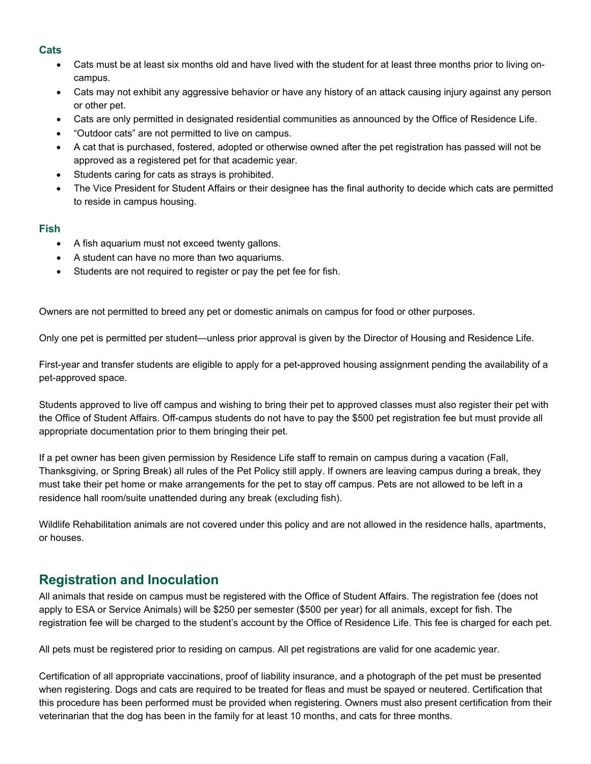#### **Cats**

- Cats must be at least six months old and have lived with the student for at least three months prior to living oncampus.
- Cats may not exhibit any aggressive behavior or have any history of an attack causing injury against any person or other pet.
- Cats are only permitted in designated residential communities as announced by the Office of Residence Life.
- "Outdoor cats" are not permitted to live on campus.
- A cat that is purchased, fostered, adopted or otherwise owned after the pet registration has passed will not be approved as a registered pet for that academic year.
- Students caring for cats as strays is prohibited.
- The Vice President for Student Affairs or their designee has the final authority to decide which cats are permitted to reside in campus housing.

#### **Fish**

- A fish aquarium must not exceed twenty gallons.
- A student can have no more than two aquariums.
- Students are not required to register or pay the pet fee for fish.

Owners are not permitted to breed any pet or domestic animals on campus for food or other purposes.

Only one pet is permitted per student—unless prior approval is given by the Director of Housing and Residence Life.

First-year and transfer students are eligible to apply for a pet-approved housing assignment pending the availability of a pet-approved space.

Students approved to live off campus and wishing to bring their pet to approved classes must also register their pet with the Office of Student Affairs. Off-campus students do not have to pay the \$500 pet registration fee but must provide all appropriate documentation prior to them bringing their pet.

If a pet owner has been given permission by Residence Life staff to remain on campus during a vacation (Fall, Thanksgiving, or Spring Break) all rules of the Pet Policy still apply. If owners are leaving campus during a break, they must take their pet home or make arrangements for the pet to stay off campus. Pets are not allowed to be left in a residence hall room/suite unattended during any break (excluding fish).

Wildlife Rehabilitation animals are not covered under this policy and are not allowed in the residence halls, apartments, or houses.

## **Registration and Inoculation**

All animals that reside on campus must be registered with the Office of Student Affairs. The registration fee (does not apply to ESA or Service Animals) will be \$250 per semester (\$500 per year) for all animals, except for fish. The registration fee will be charged to the student's account by the Office of Residence Life. This fee is charged for each pet.

All pets must be registered prior to residing on campus. All pet registrations are valid for one academic year.

Certification of all appropriate vaccinations, proof of liability insurance, and a photograph of the pet must be presented when registering. Dogs and cats are required to be treated for fleas and must be spayed or neutered. Certification that this procedure has been performed must be provided when registering. Owners must also present certification from their veterinarian that the dog has been in the family for at least 10 months, and cats for three months.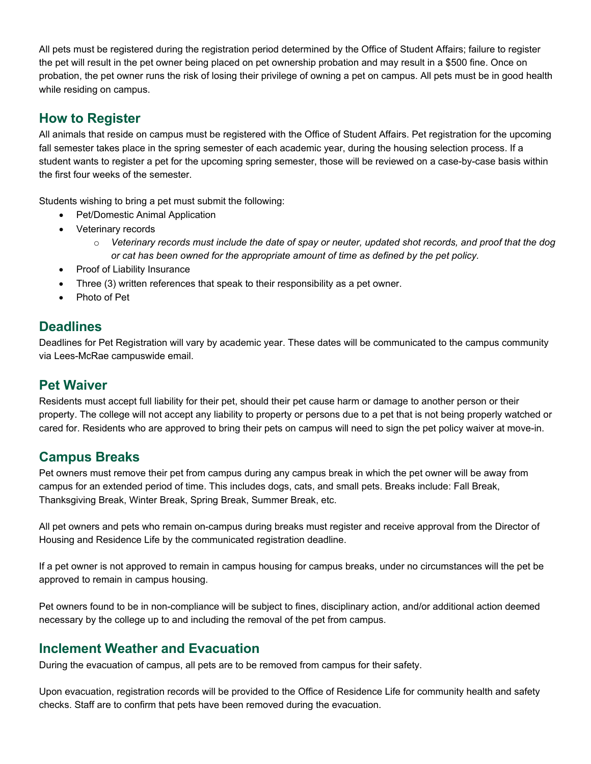All pets must be registered during the registration period determined by the Office of Student Affairs; failure to register the pet will result in the pet owner being placed on pet ownership probation and may result in a \$500 fine. Once on probation, the pet owner runs the risk of losing their privilege of owning a pet on campus. All pets must be in good health while residing on campus.

#### **How to Register**

All animals that reside on campus must be registered with the Office of Student Affairs. Pet registration for the upcoming fall semester takes place in the spring semester of each academic year, during the housing selection process. If a student wants to register a pet for the upcoming spring semester, those will be reviewed on a case-by-case basis within the first four weeks of the semester.

Students wishing to bring a pet must submit the following:

- Pet/Domestic Animal Application
- Veterinary records
	- o *Veterinary records must include the date of spay or neuter, updated shot records, and proof that the dog or cat has been owned for the appropriate amount of time as defined by the pet policy.*
- Proof of Liability Insurance
- Three (3) written references that speak to their responsibility as a pet owner.
- Photo of Pet

#### **Deadlines**

Deadlines for Pet Registration will vary by academic year. These dates will be communicated to the campus community via Lees-McRae campuswide email.

#### **Pet Waiver**

Residents must accept full liability for their pet, should their pet cause harm or damage to another person or their property. The college will not accept any liability to property or persons due to a pet that is not being properly watched or cared for. Residents who are approved to bring their pets on campus will need to sign the pet policy waiver at move-in.

## **Campus Breaks**

Pet owners must remove their pet from campus during any campus break in which the pet owner will be away from campus for an extended period of time. This includes dogs, cats, and small pets. Breaks include: Fall Break, Thanksgiving Break, Winter Break, Spring Break, Summer Break, etc.

All pet owners and pets who remain on-campus during breaks must register and receive approval from the Director of Housing and Residence Life by the communicated registration deadline.

If a pet owner is not approved to remain in campus housing for campus breaks, under no circumstances will the pet be approved to remain in campus housing.

Pet owners found to be in non-compliance will be subject to fines, disciplinary action, and/or additional action deemed necessary by the college up to and including the removal of the pet from campus.

## **Inclement Weather and Evacuation**

During the evacuation of campus, all pets are to be removed from campus for their safety.

Upon evacuation, registration records will be provided to the Office of Residence Life for community health and safety checks. Staff are to confirm that pets have been removed during the evacuation.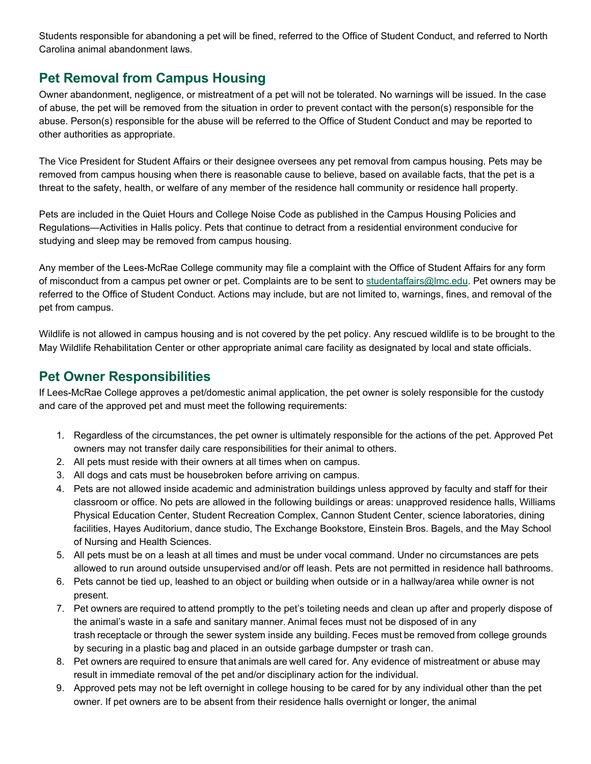Students responsible for abandoning a pet will be fined, referred to the Office of Student Conduct, and referred to North Carolina animal abandonment laws.

## **Pet Removal from Campus Housing**

Owner abandonment, negligence, or mistreatment of a pet will not be tolerated. No warnings will be issued. In the case of abuse, the pet will be removed from the situation in order to prevent contact with the person(s) responsible for the abuse. Person(s) responsible for the abuse will be referred to the Office of Student Conduct and may be reported to other authorities as appropriate.

The Vice President for Student Affairs or their designee oversees any pet removal from campus housing. Pets may be removed from campus housing when there is reasonable cause to believe, based on available facts, that the pet is a threat to the safety, health, or welfare of any member of the residence hall community or residence hall property.

Pets are included in the Quiet Hours and College Noise Code as published in the Campus Housing Policies and Regulations—Activities in Halls policy. Pets that continue to detract from a residential environment conducive for studying and sleep may be removed from campus housing.

Any member of the Lees-McRae College community may file a complaint with the Office of Student Affairs for any form of misconduct from a campus pet owner or pet. Complaints are to be sent to [studentaffairs@lmc.edu.](mailto:studentaffairs@lmc.edu) Pet owners may be referred to the Office of Student Conduct. Actions may include, but are not limited to, warnings, fines, and removal of the pet from campus.

Wildlife is not allowed in campus housing and is not covered by the pet policy. Any rescued wildlife is to be brought to the May Wildlife Rehabilitation Center or other appropriate animal care facility as designated by local and state officials.

#### **Pet Owner Responsibilities**

If Lees-McRae College approves a pet/domestic animal application, the pet owner is solely responsible for the custody and care of the approved pet and must meet the following requirements:

- 1. Regardless of the circumstances, the pet owner is ultimately responsible for the actions of the pet. Approved Pet owners may not transfer daily care responsibilities for their animal to others.
- 2. All pets must reside with their owners at all times when on campus.
- 3. All dogs and cats must be housebroken before arriving on campus.
- 4. Pets are not allowed inside academic and administration buildings unless approved by faculty and staff for their classroom or office. No pets are allowed in the following buildings or areas: unapproved residence halls, Williams Physical Education Center, Student Recreation Complex, Cannon Student Center, science laboratories, dining facilities, Hayes Auditorium, dance studio, The Exchange Bookstore, Einstein Bros. Bagels, and the May School of Nursing and Health Sciences.
- 5. All pets must be on a leash at all times and must be under vocal command. Under no circumstances are pets allowed to run around outside unsupervised and/or off leash. Pets are not permitted in residence hall bathrooms.
- 6. Pets cannot be tied up, leashed to an object or building when outside or in a hallway/area while owner is not present.
- 7. Pet owners are required to attend promptly to the pet's toileting needs and clean up after and properly dispose of the animal's waste in a safe and sanitary manner. Animal feces must not be disposed of in any trash receptacle or through the sewer system inside any building. Feces must be removed from college grounds by securing in a plastic bag and placed in an outside garbage dumpster or trash can.
- 8. Pet owners are required to ensure that animals are well cared for. Any evidence of mistreatment or abuse may result in immediate removal of the pet and/or disciplinary action for the individual.
- 9. Approved pets may not be left overnight in college housing to be cared for by any individual other than the pet owner. If pet owners are to be absent from their residence halls overnight or longer, the animal